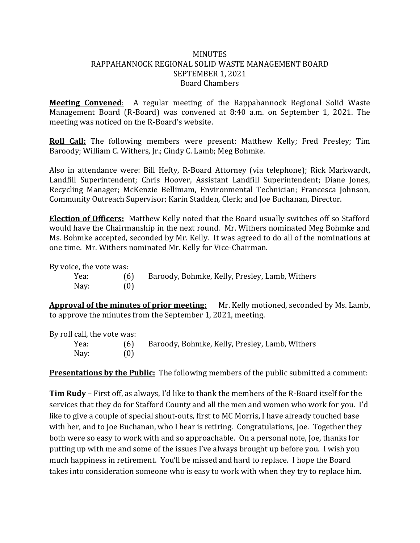#### **MINUTES** RAPPAHANNOCK REGIONAL SOLID WASTE MANAGEMENT BOARD SEPTEMBER 1, 2021 Board Chambers

**Meeting Convened**: A regular meeting of the Rappahannock Regional Solid Waste Management Board (R-Board) was convened at 8:40 a.m. on September 1, 2021. The meeting was noticed on the R-Board's website.

**Roll Call:** The following members were present: Matthew Kelly; Fred Presley; Tim Baroody; William C. Withers, Jr.; Cindy C. Lamb; Meg Bohmke.

Also in attendance were: Bill Hefty, R-Board Attorney (via telephone); Rick Markwardt, Landfill Superintendent; Chris Hoover, Assistant Landfill Superintendent; Diane Jones, Recycling Manager; McKenzie Bellimam, Environmental Technician; Francesca Johnson, Community Outreach Supervisor; Karin Stadden, Clerk; and Joe Buchanan, Director.

**Election of Officers:** Matthew Kelly noted that the Board usually switches off so Stafford would have the Chairmanship in the next round. Mr. Withers nominated Meg Bohmke and Ms. Bohmke accepted, seconded by Mr. Kelly. It was agreed to do all of the nominations at one time. Mr. Withers nominated Mr. Kelly for Vice-Chairman.

By voice, the vote was:

| Yea: |     | Baroody, Bohmke, Kelly, Presley, Lamb, Withers |
|------|-----|------------------------------------------------|
| Nay: | (0) |                                                |

**Approval of the minutes of prior meeting:** Mr. Kelly motioned, seconded by Ms. Lamb, to approve the minutes from the September 1, 2021, meeting.

By roll call, the vote was:

Yea: (6) Baroody, Bohmke, Kelly, Presley, Lamb, Withers Nay: (0)

**Presentations by the Public:** The following members of the public submitted a comment:

**Tim Rudy** – First off, as always, I'd like to thank the members of the R-Board itself for the services that they do for Stafford County and all the men and women who work for you. I'd like to give a couple of special shout-outs, first to MC Morris, I have already touched base with her, and to Joe Buchanan, who I hear is retiring. Congratulations, Joe. Together they both were so easy to work with and so approachable. On a personal note, Joe, thanks for putting up with me and some of the issues I've always brought up before you. I wish you much happiness in retirement. You'll be missed and hard to replace. I hope the Board takes into consideration someone who is easy to work with when they try to replace him.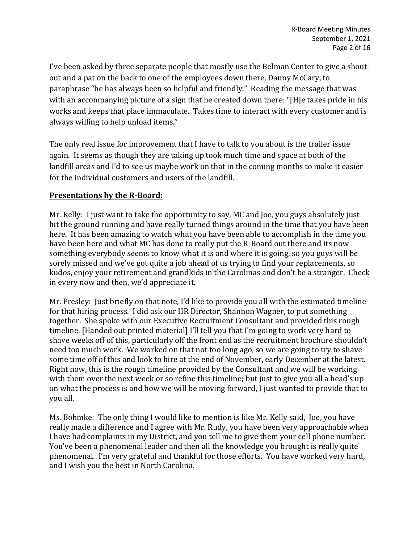I've been asked by three separate people that mostly use the Belman Center to give a shoutout and a pat on the back to one of the employees down there, Danny McCary, to paraphrase "he has always been so helpful and friendly." Reading the message that was with an accompanying picture of a sign that he created down there: "[H]e takes pride in his works and keeps that place immaculate. Takes time to interact with every customer and is always willing to help unload items."

The only real issue for improvement that I have to talk to you about is the trailer issue again. It seems as though they are taking up took much time and space at both of the landfill areas and I'd to see us maybe work on that in the coming months to make it easier for the individual customers and users of the landfill.

### **Presentations by the R-Board:**

Mr. Kelly: I just want to take the opportunity to say, MC and Joe, you guys absolutely just hit the ground running and have really turned things around in the time that you have been here. It has been amazing to watch what you have been able to accomplish in the time you have been here and what MC has done to really put the R-Board out there and its now something everybody seems to know what it is and where it is going, so you guys will be sorely missed and we've got quite a job ahead of us trying to find your replacements, so kudos, enjoy your retirement and grandkids in the Carolinas and don't be a stranger. Check in every now and then, we'd appreciate it.

Mr. Presley: Just briefly on that note, I'd like to provide you all with the estimated timeline for that hiring process. I did ask our HR Director, Shannon Wagner, to put something together. She spoke with our Executive Recruitment Consultant and provided this rough timeline. [Handed out printed material] I'll tell you that I'm going to work very hard to shave weeks off of this, particularly off the front end as the recruitment brochure shouldn't need too much work. We worked on that not too long ago, so we are going to try to shave some time off of this and look to hire at the end of November, early December at the latest. Right now, this is the rough timeline provided by the Consultant and we will be working with them over the next week or so refine this timeline; but just to give you all a head's up on what the process is and how we will be moving forward, I just wanted to provide that to you all.

Ms. Bohmke: The only thing I would like to mention is like Mr. Kelly said, Joe, you have really made a difference and I agree with Mr. Rudy, you have been very approachable when I have had complaints in my District, and you tell me to give them your cell phone number. You've been a phenomenal leader and then all the knowledge you brought is really quite phenomenal. I'm very grateful and thankful for those efforts. You have worked very hard, and I wish you the best in North Carolina.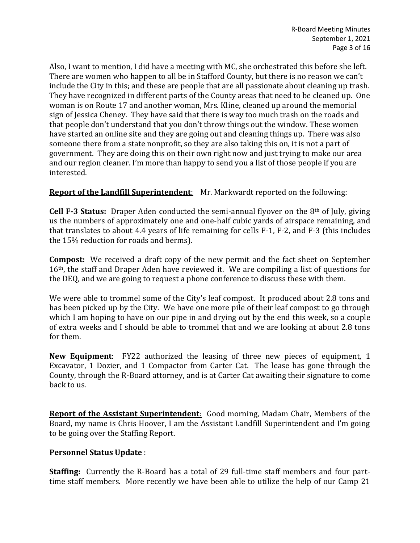Also, I want to mention, I did have a meeting with MC, she orchestrated this before she left. There are women who happen to all be in Stafford County, but there is no reason we can't include the City in this; and these are people that are all passionate about cleaning up trash. They have recognized in different parts of the County areas that need to be cleaned up. One woman is on Route 17 and another woman, Mrs. Kline, cleaned up around the memorial sign of Jessica Cheney. They have said that there is way too much trash on the roads and that people don't understand that you don't throw things out the window. These women have started an online site and they are going out and cleaning things up. There was also someone there from a state nonprofit, so they are also taking this on, it is not a part of government. They are doing this on their own right now and just trying to make our area and our region cleaner. I'm more than happy to send you a list of those people if you are interested.

### **Report of the Landfill Superintendent**: Mr. Markwardt reported on the following:

**Cell F-3 Status:** Draper Aden conducted the semi-annual flyover on the 8th of July, giving us the numbers of approximately one and one-half cubic yards of airspace remaining, and that translates to about 4.4 years of life remaining for cells F-1, F-2, and F-3 (this includes the 15% reduction for roads and berms).

**Compost:** We received a draft copy of the new permit and the fact sheet on September 16th, the staff and Draper Aden have reviewed it. We are compiling a list of questions for the DEQ, and we are going to request a phone conference to discuss these with them.

We were able to trommel some of the City's leaf compost. It produced about 2.8 tons and has been picked up by the City. We have one more pile of their leaf compost to go through which I am hoping to have on our pipe in and drying out by the end this week, so a couple of extra weeks and I should be able to trommel that and we are looking at about 2.8 tons for them.

**New Equipment**: FY22 authorized the leasing of three new pieces of equipment, 1 Excavator, 1 Dozier, and 1 Compactor from Carter Cat. The lease has gone through the County, through the R-Board attorney, and is at Carter Cat awaiting their signature to come back to us.

**Report of the Assistant Superintendent**: Good morning, Madam Chair, Members of the Board, my name is Chris Hoover, I am the Assistant Landfill Superintendent and I'm going to be going over the Staffing Report.

### **Personnel Status Update** :

**Staffing:** Currently the R-Board has a total of 29 full-time staff members and four parttime staff members. More recently we have been able to utilize the help of our Camp 21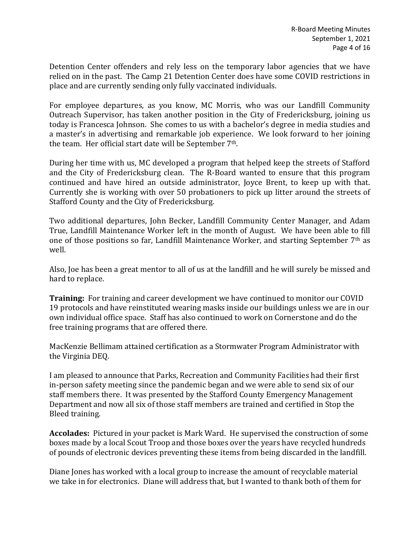Detention Center offenders and rely less on the temporary labor agencies that we have relied on in the past. The Camp 21 Detention Center does have some COVID restrictions in place and are currently sending only fully vaccinated individuals.

For employee departures, as you know, MC Morris, who was our Landfill Community Outreach Supervisor, has taken another position in the City of Fredericksburg, joining us today is Francesca Johnson. She comes to us with a bachelor's degree in media studies and a master's in advertising and remarkable job experience. We look forward to her joining the team. Her official start date will be September 7th.

During her time with us, MC developed a program that helped keep the streets of Stafford and the City of Fredericksburg clean. The R-Board wanted to ensure that this program continued and have hired an outside administrator, Joyce Brent, to keep up with that. Currently she is working with over 50 probationers to pick up litter around the streets of Stafford County and the City of Fredericksburg.

Two additional departures, John Becker, Landfill Community Center Manager, and Adam True, Landfill Maintenance Worker left in the month of August. We have been able to fill one of those positions so far, Landfill Maintenance Worker, and starting September 7th as well.

Also, Joe has been a great mentor to all of us at the landfill and he will surely be missed and hard to replace.

**Training:** For training and career development we have continued to monitor our COVID 19 protocols and have reinstituted wearing masks inside our buildings unless we are in our own individual office space. Staff has also continued to work on Cornerstone and do the free training programs that are offered there.

MacKenzie Bellimam attained certification as a Stormwater Program Administrator with the Virginia DEQ.

I am pleased to announce that Parks, Recreation and Community Facilities had their first in-person safety meeting since the pandemic began and we were able to send six of our staff members there. It was presented by the Stafford County Emergency Management Department and now all six of those staff members are trained and certified in Stop the Bleed training.

**Accolades:** Pictured in your packet is Mark Ward. He supervised the construction of some boxes made by a local Scout Troop and those boxes over the years have recycled hundreds of pounds of electronic devices preventing these items from being discarded in the landfill.

Diane Jones has worked with a local group to increase the amount of recyclable material we take in for electronics. Diane will address that, but I wanted to thank both of them for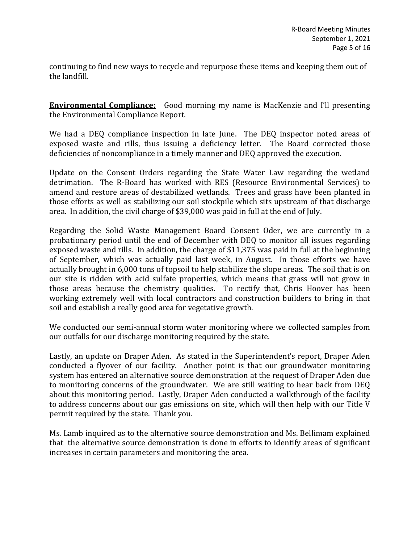continuing to find new ways to recycle and repurpose these items and keeping them out of the landfill.

**Environmental Compliance:** Good morning my name is MacKenzie and I'll presenting the Environmental Compliance Report.

We had a DEQ compliance inspection in late June. The DEQ inspector noted areas of exposed waste and rills, thus issuing a deficiency letter. The Board corrected those deficiencies of noncompliance in a timely manner and DEQ approved the execution.

Update on the Consent Orders regarding the State Water Law regarding the wetland detrimation. The R-Board has worked with RES (Resource Environmental Services) to amend and restore areas of destabilized wetlands. Trees and grass have been planted in those efforts as well as stabilizing our soil stockpile which sits upstream of that discharge area. In addition, the civil charge of \$39,000 was paid in full at the end of July.

Regarding the Solid Waste Management Board Consent Oder, we are currently in a probationary period until the end of December with DEQ to monitor all issues regarding exposed waste and rills. In addition, the charge of \$11,375 was paid in full at the beginning of September, which was actually paid last week, in August. In those efforts we have actually brought in 6,000 tons of topsoil to help stabilize the slope areas. The soil that is on our site is ridden with acid sulfate properties, which means that grass will not grow in those areas because the chemistry qualities. To rectify that, Chris Hoover has been working extremely well with local contractors and construction builders to bring in that soil and establish a really good area for vegetative growth.

We conducted our semi-annual storm water monitoring where we collected samples from our outfalls for our discharge monitoring required by the state.

Lastly, an update on Draper Aden. As stated in the Superintendent's report, Draper Aden conducted a flyover of our facility. Another point is that our groundwater monitoring system has entered an alternative source demonstration at the request of Draper Aden due to monitoring concerns of the groundwater. We are still waiting to hear back from DEQ about this monitoring period. Lastly, Draper Aden conducted a walkthrough of the facility to address concerns about our gas emissions on site, which will then help with our Title V permit required by the state. Thank you.

Ms. Lamb inquired as to the alternative source demonstration and Ms. Bellimam explained that the alternative source demonstration is done in efforts to identify areas of significant increases in certain parameters and monitoring the area.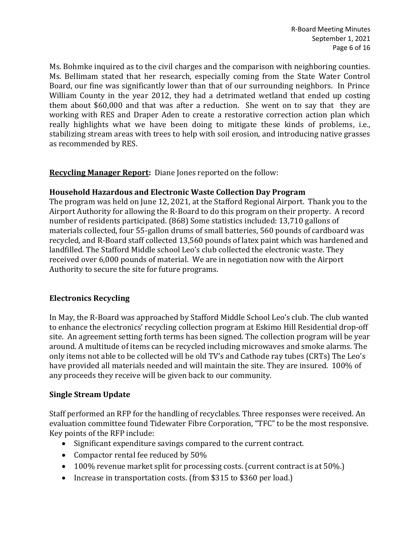Ms. Bohmke inquired as to the civil charges and the comparison with neighboring counties. Ms. Bellimam stated that her research, especially coming from the State Water Control Board, our fine was significantly lower than that of our surrounding neighbors. In Prince William County in the year 2012, they had a detrimated wetland that ended up costing them about \$60,000 and that was after a reduction. She went on to say that they are working with RES and Draper Aden to create a restorative correction action plan which really highlights what we have been doing to mitigate these kinds of problems, i.e., stabilizing stream areas with trees to help with soil erosion, and introducing native grasses as recommended by RES.

**Recycling Manager Report:** Diane Jones reported on the follow:

### **Household Hazardous and Electronic Waste Collection Day Program**

The program was held on June 12, 2021, at the Stafford Regional Airport. Thank you to the Airport Authority for allowing the R-Board to do this program on their property. A record number of residents participated. (868) Some statistics included: 13,710 gallons of materials collected, four 55-gallon drums of small batteries, 560 pounds of cardboard was recycled, and R-Board staff collected 13,560 pounds of latex paint which was hardened and landfilled. The Stafford Middle school Leo's club collected the electronic waste. They received over 6,000 pounds of material. We are in negotiation now with the Airport Authority to secure the site for future programs.

# **Electronics Recycling**

In May, the R-Board was approached by Stafford Middle School Leo's club. The club wanted to enhance the electronics' recycling collection program at Eskimo Hill Residential drop-off site. An agreement setting forth terms has been signed. The collection program will be year around. A multitude of items can be recycled including microwaves and smoke alarms. The only items not able to be collected will be old TV's and Cathode ray tubes (CRTs) The Leo's have provided all materials needed and will maintain the site. They are insured. 100% of any proceeds they receive will be given back to our community.

# **Single Stream Update**

Staff performed an RFP for the handling of recyclables. Three responses were received. An evaluation committee found Tidewater Fibre Corporation, "TFC" to be the most responsive. Key points of the RFP include:

- Significant expenditure savings compared to the current contract.
- Compactor rental fee reduced by 50%
- 100% revenue market split for processing costs. (current contract is at 50%.)
- Increase in transportation costs. (from \$315 to \$360 per load.)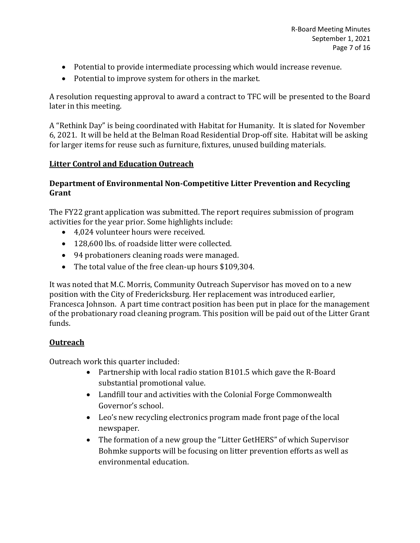- Potential to provide intermediate processing which would increase revenue.
- Potential to improve system for others in the market.

A resolution requesting approval to award a contract to TFC will be presented to the Board later in this meeting.

A "Rethink Day" is being coordinated with Habitat for Humanity. It is slated for November 6, 2021. It will be held at the Belman Road Residential Drop-off site. Habitat will be asking for larger items for reuse such as furniture, fixtures, unused building materials.

# **Litter Control and Education Outreach**

## **Department of Environmental Non-Competitive Litter Prevention and Recycling Grant**

The FY22 grant application was submitted. The report requires submission of program activities for the year prior. Some highlights include:

- 4,024 volunteer hours were received.
- 128,600 lbs. of roadside litter were collected.
- 94 probationers cleaning roads were managed.
- The total value of the free clean-up hours \$109,304.

It was noted that M.C. Morris, Community Outreach Supervisor has moved on to a new position with the City of Fredericksburg. Her replacement was introduced earlier, Francesca Johnson. A part time contract position has been put in place for the management of the probationary road cleaning program. This position will be paid out of the Litter Grant funds.

# **Outreach**

Outreach work this quarter included:

- Partnership with local radio station B101.5 which gave the R-Board substantial promotional value.
- Landfill tour and activities with the Colonial Forge Commonwealth Governor's school.
- Leo's new recycling electronics program made front page of the local newspaper.
- The formation of a new group the "Litter GetHERS" of which Supervisor Bohmke supports will be focusing on litter prevention efforts as well as environmental education.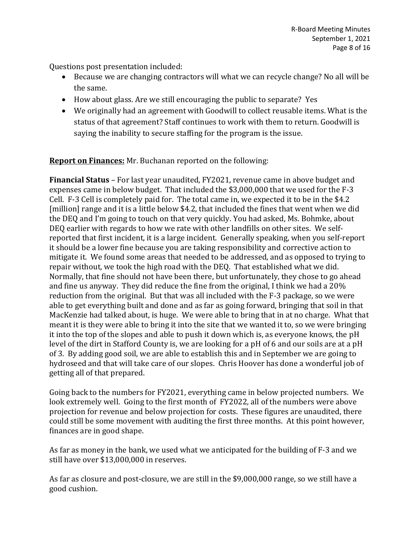Questions post presentation included:

- Because we are changing contractors will what we can recycle change? No all will be the same.
- How about glass. Are we still encouraging the public to separate? Yes
- We originally had an agreement with Goodwill to collect reusable items. What is the status of that agreement? Staff continues to work with them to return. Goodwill is saying the inability to secure staffing for the program is the issue.

**Report on Finances:** Mr. Buchanan reported on the following:

**Financial Status** – For last year unaudited, FY2021, revenue came in above budget and expenses came in below budget. That included the \$3,000,000 that we used for the F-3 Cell. F-3 Cell is completely paid for. The total came in, we expected it to be in the \$4.2 [million] range and it is a little below \$4.2, that included the fines that went when we did the DEQ and I'm going to touch on that very quickly. You had asked, Ms. Bohmke, about DEQ earlier with regards to how we rate with other landfills on other sites. We selfreported that first incident, it is a large incident. Generally speaking, when you self-report it should be a lower fine because you are taking responsibility and corrective action to mitigate it. We found some areas that needed to be addressed, and as opposed to trying to repair without, we took the high road with the DEQ. That established what we did. Normally, that fine should not have been there, but unfortunately, they chose to go ahead and fine us anyway. They did reduce the fine from the original, I think we had a 20% reduction from the original. But that was all included with the F-3 package, so we were able to get everything built and done and as far as going forward, bringing that soil in that MacKenzie had talked about, is huge. We were able to bring that in at no charge. What that meant it is they were able to bring it into the site that we wanted it to, so we were bringing it into the top of the slopes and able to push it down which is, as everyone knows, the pH level of the dirt in Stafford County is, we are looking for a pH of 6 and our soils are at a pH of 3. By adding good soil, we are able to establish this and in September we are going to hydroseed and that will take care of our slopes. Chris Hoover has done a wonderful job of getting all of that prepared.

Going back to the numbers for FY2021, everything came in below projected numbers. We look extremely well. Going to the first month of FY2022, all of the numbers were above projection for revenue and below projection for costs. These figures are unaudited, there could still be some movement with auditing the first three months. At this point however, finances are in good shape.

As far as money in the bank, we used what we anticipated for the building of F-3 and we still have over \$13,000,000 in reserves.

As far as closure and post-closure, we are still in the \$9,000,000 range, so we still have a good cushion.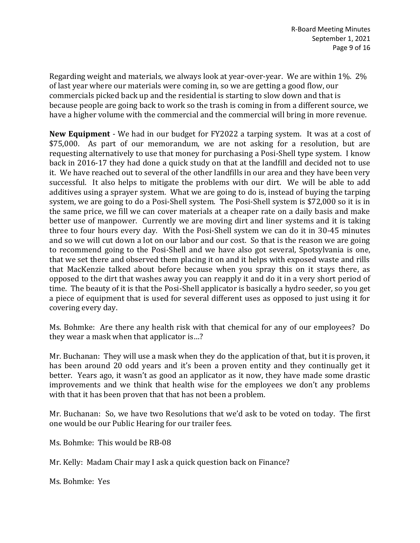Regarding weight and materials, we always look at year-over-year. We are within 1%. 2% of last year where our materials were coming in, so we are getting a good flow, our commercials picked back up and the residential is starting to slow down and that is because people are going back to work so the trash is coming in from a different source, we have a higher volume with the commercial and the commercial will bring in more revenue.

**New Equipment** - We had in our budget for FY2022 a tarping system. It was at a cost of \$75,000. As part of our memorandum, we are not asking for a resolution, but are requesting alternatively to use that money for purchasing a Posi-Shell type system. I know back in 2016-17 they had done a quick study on that at the landfill and decided not to use it. We have reached out to several of the other landfills in our area and they have been very successful. It also helps to mitigate the problems with our dirt. We will be able to add additives using a sprayer system. What we are going to do is, instead of buying the tarping system, we are going to do a Posi-Shell system. The Posi-Shell system is \$72,000 so it is in the same price, we fill we can cover materials at a cheaper rate on a daily basis and make better use of manpower. Currently we are moving dirt and liner systems and it is taking three to four hours every day. With the Posi-Shell system we can do it in 30-45 minutes and so we will cut down a lot on our labor and our cost. So that is the reason we are going to recommend going to the Posi-Shell and we have also got several, Spotsylvania is one, that we set there and observed them placing it on and it helps with exposed waste and rills that MacKenzie talked about before because when you spray this on it stays there, as opposed to the dirt that washes away you can reapply it and do it in a very short period of time. The beauty of it is that the Posi-Shell applicator is basically a hydro seeder, so you get a piece of equipment that is used for several different uses as opposed to just using it for covering every day.

Ms. Bohmke: Are there any health risk with that chemical for any of our employees? Do they wear a mask when that applicator is…?

Mr. Buchanan: They will use a mask when they do the application of that, but it is proven, it has been around 20 odd years and it's been a proven entity and they continually get it better. Years ago, it wasn't as good an applicator as it now, they have made some drastic improvements and we think that health wise for the employees we don't any problems with that it has been proven that that has not been a problem.

Mr. Buchanan: So, we have two Resolutions that we'd ask to be voted on today. The first one would be our Public Hearing for our trailer fees.

Ms. Bohmke: This would be RB-08

Mr. Kelly: Madam Chair may I ask a quick question back on Finance?

Ms. Bohmke: Yes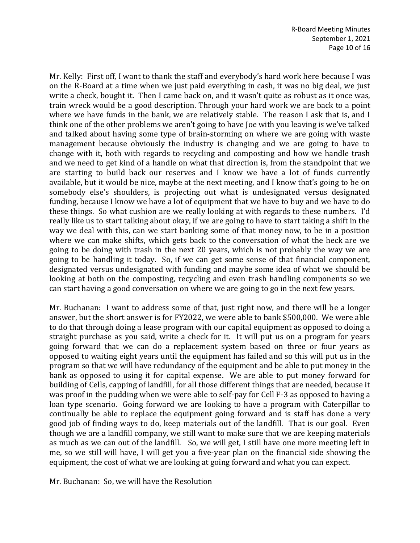Mr. Kelly: First off, I want to thank the staff and everybody's hard work here because I was on the R-Board at a time when we just paid everything in cash, it was no big deal, we just write a check, bought it. Then I came back on, and it wasn't quite as robust as it once was, train wreck would be a good description. Through your hard work we are back to a point where we have funds in the bank, we are relatively stable. The reason I ask that is, and I think one of the other problems we aren't going to have Joe with you leaving is we've talked and talked about having some type of brain-storming on where we are going with waste management because obviously the industry is changing and we are going to have to change with it, both with regards to recycling and composting and how we handle trash and we need to get kind of a handle on what that direction is, from the standpoint that we are starting to build back our reserves and I know we have a lot of funds currently available, but it would be nice, maybe at the next meeting, and I know that's going to be on somebody else's shoulders, is projecting out what is undesignated versus designated funding, because I know we have a lot of equipment that we have to buy and we have to do these things. So what cushion are we really looking at with regards to these numbers. I'd really like us to start talking about okay, if we are going to have to start taking a shift in the way we deal with this, can we start banking some of that money now, to be in a position where we can make shifts, which gets back to the conversation of what the heck are we going to be doing with trash in the next 20 years, which is not probably the way we are going to be handling it today. So, if we can get some sense of that financial component, designated versus undesignated with funding and maybe some idea of what we should be looking at both on the composting, recycling and even trash handling components so we can start having a good conversation on where we are going to go in the next few years.

Mr. Buchanan: I want to address some of that, just right now, and there will be a longer answer, but the short answer is for FY2022, we were able to bank \$500,000. We were able to do that through doing a lease program with our capital equipment as opposed to doing a straight purchase as you said, write a check for it. It will put us on a program for years going forward that we can do a replacement system based on three or four years as opposed to waiting eight years until the equipment has failed and so this will put us in the program so that we will have redundancy of the equipment and be able to put money in the bank as opposed to using it for capital expense. We are able to put money forward for building of Cells, capping of landfill, for all those different things that are needed, because it was proof in the pudding when we were able to self-pay for Cell F-3 as opposed to having a loan type scenario. Going forward we are looking to have a program with Caterpillar to continually be able to replace the equipment going forward and is staff has done a very good job of finding ways to do, keep materials out of the landfill. That is our goal. Even though we are a landfill company, we still want to make sure that we are keeping materials as much as we can out of the landfill. So, we will get, I still have one more meeting left in me, so we still will have, I will get you a five-year plan on the financial side showing the equipment, the cost of what we are looking at going forward and what you can expect.

Mr. Buchanan: So, we will have the Resolution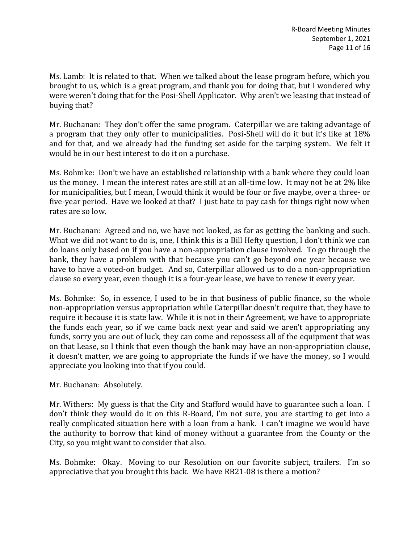Ms. Lamb: It is related to that. When we talked about the lease program before, which you brought to us, which is a great program, and thank you for doing that, but I wondered why were weren't doing that for the Posi-Shell Applicator. Why aren't we leasing that instead of buying that?

Mr. Buchanan: They don't offer the same program. Caterpillar we are taking advantage of a program that they only offer to municipalities. Posi-Shell will do it but it's like at 18% and for that, and we already had the funding set aside for the tarping system. We felt it would be in our best interest to do it on a purchase.

Ms. Bohmke: Don't we have an established relationship with a bank where they could loan us the money. I mean the interest rates are still at an all-time low. It may not be at 2% like for municipalities, but I mean, I would think it would be four or five maybe, over a three- or five-year period. Have we looked at that? I just hate to pay cash for things right now when rates are so low.

Mr. Buchanan: Agreed and no, we have not looked, as far as getting the banking and such. What we did not want to do is, one, I think this is a Bill Hefty question, I don't think we can do loans only based on if you have a non-appropriation clause involved. To go through the bank, they have a problem with that because you can't go beyond one year because we have to have a voted-on budget. And so, Caterpillar allowed us to do a non-appropriation clause so every year, even though it is a four-year lease, we have to renew it every year.

Ms. Bohmke: So, in essence, I used to be in that business of public finance, so the whole non-appropriation versus appropriation while Caterpillar doesn't require that, they have to require it because it is state law. While it is not in their Agreement, we have to appropriate the funds each year, so if we came back next year and said we aren't appropriating any funds, sorry you are out of luck, they can come and repossess all of the equipment that was on that Lease, so I think that even though the bank may have an non-appropriation clause, it doesn't matter, we are going to appropriate the funds if we have the money, so I would appreciate you looking into that if you could.

Mr. Buchanan: Absolutely.

Mr. Withers: My guess is that the City and Stafford would have to guarantee such a loan. I don't think they would do it on this R-Board, I'm not sure, you are starting to get into a really complicated situation here with a loan from a bank. I can't imagine we would have the authority to borrow that kind of money without a guarantee from the County or the City, so you might want to consider that also.

Ms. Bohmke: Okay. Moving to our Resolution on our favorite subject, trailers. I'm so appreciative that you brought this back. We have RB21-08 is there a motion?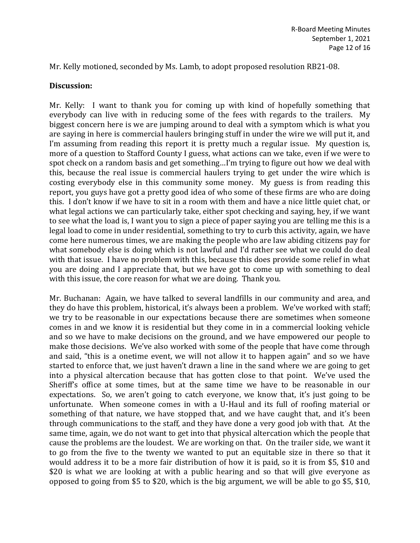Mr. Kelly motioned, seconded by Ms. Lamb, to adopt proposed resolution RB21-08.

#### **Discussion:**

Mr. Kelly: I want to thank you for coming up with kind of hopefully something that everybody can live with in reducing some of the fees with regards to the trailers. My biggest concern here is we are jumping around to deal with a symptom which is what you are saying in here is commercial haulers bringing stuff in under the wire we will put it, and I'm assuming from reading this report it is pretty much a regular issue. My question is, more of a question to Stafford County I guess, what actions can we take, even if we were to spot check on a random basis and get something…I'm trying to figure out how we deal with this, because the real issue is commercial haulers trying to get under the wire which is costing everybody else in this community some money. My guess is from reading this report, you guys have got a pretty good idea of who some of these firms are who are doing this. I don't know if we have to sit in a room with them and have a nice little quiet chat, or what legal actions we can particularly take, either spot checking and saying, hey, if we want to see what the load is, I want you to sign a piece of paper saying you are telling me this is a legal load to come in under residential, something to try to curb this activity, again, we have come here numerous times, we are making the people who are law abiding citizens pay for what somebody else is doing which is not lawful and I'd rather see what we could do deal with that issue. I have no problem with this, because this does provide some relief in what you are doing and I appreciate that, but we have got to come up with something to deal with this issue, the core reason for what we are doing. Thank you.

Mr. Buchanan: Again, we have talked to several landfills in our community and area, and they do have this problem, historical, it's always been a problem. We've worked with staff; we try to be reasonable in our expectations because there are sometimes when someone comes in and we know it is residential but they come in in a commercial looking vehicle and so we have to make decisions on the ground, and we have empowered our people to make those decisions. We've also worked with some of the people that have come through and said, "this is a onetime event, we will not allow it to happen again" and so we have started to enforce that, we just haven't drawn a line in the sand where we are going to get into a physical altercation because that has gotten close to that point. We've used the Sheriff's office at some times, but at the same time we have to be reasonable in our expectations. So, we aren't going to catch everyone, we know that, it's just going to be unfortunate. When someone comes in with a U-Haul and its full of roofing material or something of that nature, we have stopped that, and we have caught that, and it's been through communications to the staff, and they have done a very good job with that. At the same time, again, we do not want to get into that physical altercation which the people that cause the problems are the loudest. We are working on that. On the trailer side, we want it to go from the five to the twenty we wanted to put an equitable size in there so that it would address it to be a more fair distribution of how it is paid, so it is from \$5, \$10 and \$20 is what we are looking at with a public hearing and so that will give everyone as opposed to going from \$5 to \$20, which is the big argument, we will be able to go \$5, \$10,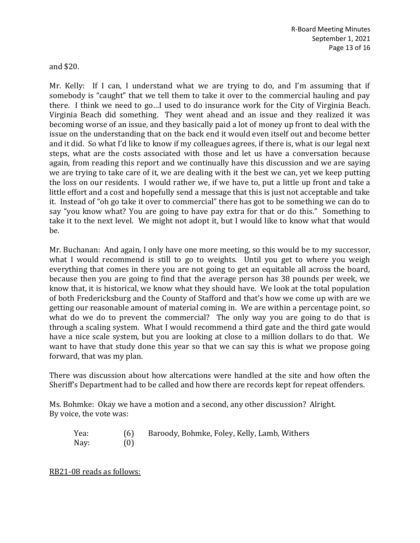and \$20.

Mr. Kelly: If I can, I understand what we are trying to do, and I'm assuming that if somebody is "caught" that we tell them to take it over to the commercial hauling and pay there. I think we need to go…I used to do insurance work for the City of Virginia Beach. Virginia Beach did something. They went ahead and an issue and they realized it was becoming worse of an issue, and they basically paid a lot of money up front to deal with the issue on the understanding that on the back end it would even itself out and become better and it did. So what I'd like to know if my colleagues agrees, if there is, what is our legal next steps, what are the costs associated with those and let us have a conversation because again, from reading this report and we continually have this discussion and we are saying we are trying to take care of it, we are dealing with it the best we can, yet we keep putting the loss on our residents. I would rather we, if we have to, put a little up front and take a little effort and a cost and hopefully send a message that this is just not acceptable and take it. Instead of "oh go take it over to commercial" there has got to be something we can do to say "you know what? You are going to have pay extra for that or do this." Something to take it to the next level. We might not adopt it, but I would like to know what that would be.

Mr. Buchanan: And again, I only have one more meeting, so this would be to my successor, what I would recommend is still to go to weights. Until you get to where you weigh everything that comes in there you are not going to get an equitable all across the board, because then you are going to find that the average person has 38 pounds per week, we know that, it is historical, we know what they should have. We look at the total population of both Fredericksburg and the County of Stafford and that's how we come up with are we getting our reasonable amount of material coming in. We are within a percentage point, so what do we do to prevent the commercial? The only way you are going to do that is through a scaling system. What I would recommend a third gate and the third gate would have a nice scale system, but you are looking at close to a million dollars to do that. We want to have that study done this year so that we can say this is what we propose going forward, that was my plan.

There was discussion about how altercations were handled at the site and how often the Sheriff's Department had to be called and how there are records kept for repeat offenders.

Ms. Bohmke: Okay we have a motion and a second, any other discussion? Alright. By voice, the vote was:

| Yea: | (6) | Baroody, Bohmke, Foley, Kelly, Lamb, Withers |
|------|-----|----------------------------------------------|
| Nay: | (0) |                                              |

RB21-08 reads as follows: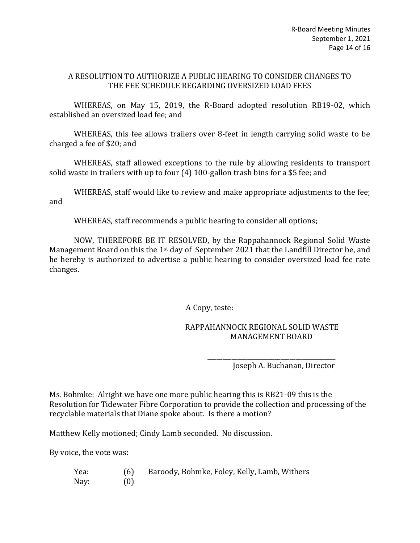#### A RESOLUTION TO AUTHORIZE A PUBLIC HEARING TO CONSIDER CHANGES TO THE FEE SCHEDULE REGARDING OVERSIZED LOAD FEES

WHEREAS, on May 15, 2019, the R-Board adopted resolution RB19-02, which established an oversized load fee; and

WHEREAS, this fee allows trailers over 8-feet in length carrying solid waste to be charged a fee of \$20; and

WHEREAS, staff allowed exceptions to the rule by allowing residents to transport solid waste in trailers with up to four (4) 100-gallon trash bins for a \$5 fee; and

WHEREAS, staff would like to review and make appropriate adjustments to the fee; and

WHEREAS, staff recommends a public hearing to consider all options;

NOW, THEREFORE BE IT RESOLVED, by the Rappahannock Regional Solid Waste Management Board on this the 1st day of September 2021 that the Landfill Director be, and he hereby is authorized to advertise a public hearing to consider oversized load fee rate changes.

A Copy, teste:

### RAPPAHANNOCK REGIONAL SOLID WASTE MANAGEMENT BOARD

\_\_\_\_\_\_\_\_\_\_\_\_\_\_\_\_\_\_\_\_\_\_\_\_\_\_\_\_\_\_\_\_\_\_\_\_\_\_\_\_\_\_

Joseph A. Buchanan, Director

Ms. Bohmke: Alright we have one more public hearing this is RB21-09 this is the Resolution for Tidewater Fibre Corporation to provide the collection and processing of the recyclable materials that Diane spoke about. Is there a motion?

Matthew Kelly motioned; Cindy Lamb seconded. No discussion.

By voice, the vote was:

| Yea: | (6) | Baroody, Bohmke, Foley, Kelly, Lamb, Withers |
|------|-----|----------------------------------------------|
| Nay: | (0) |                                              |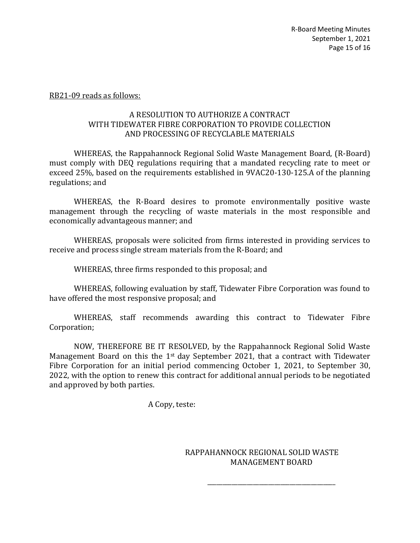#### RB21-09 reads as follows:

#### A RESOLUTION TO AUTHORIZE A CONTRACT WITH TIDEWATER FIBRE CORPORATION TO PROVIDE COLLECTION AND PROCESSING OF RECYCLABLE MATERIALS

WHEREAS, the Rappahannock Regional Solid Waste Management Board, (R-Board) must comply with DEQ regulations requiring that a mandated recycling rate to meet or exceed 25%, based on the requirements established in 9VAC20-130-125.A of the planning regulations; and

WHEREAS, the R-Board desires to promote environmentally positive waste management through the recycling of waste materials in the most responsible and economically advantageous manner; and

WHEREAS, proposals were solicited from firms interested in providing services to receive and process single stream materials from the R-Board; and

WHEREAS, three firms responded to this proposal; and

WHEREAS, following evaluation by staff, Tidewater Fibre Corporation was found to have offered the most responsive proposal; and

WHEREAS, staff recommends awarding this contract to Tidewater Fibre Corporation;

NOW, THEREFORE BE IT RESOLVED, by the Rappahannock Regional Solid Waste Management Board on this the 1st day September 2021, that a contract with Tidewater Fibre Corporation for an initial period commencing October 1, 2021, to September 30, 2022, with the option to renew this contract for additional annual periods to be negotiated and approved by both parties.

A Copy, teste:

RAPPAHANNOCK REGIONAL SOLID WASTE MANAGEMENT BOARD

\_\_\_\_\_\_\_\_\_\_\_\_\_\_\_\_\_\_\_\_\_\_\_\_\_\_\_\_\_\_\_\_\_\_\_\_\_\_\_\_\_\_